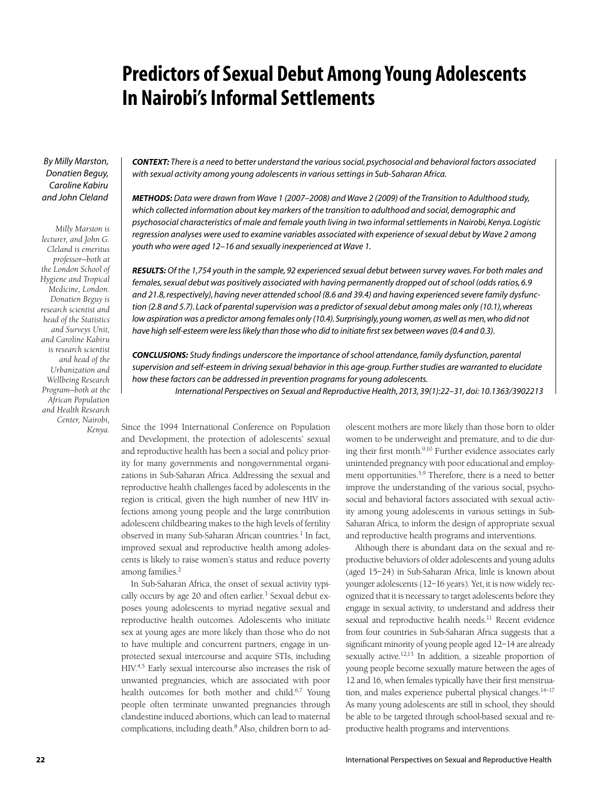# **Predictors of Sexual Debut Among Young Adolescents In Nairobi's Informal Settlements**

*By Milly Marston, Donatien Beguy, Caroline Kabiru and John Cleland*

*Milly Marston is lecturer, and John G. Cleland is emeritus professor—both at the London School of Hygiene and Tropical Medicine, London. Donatien Beguy is research scientist and head of the Statistics and Surveys Unit, and Caroline Kabiru is research scientist and head of the Urbanization and Wellbeing Research Program—both at the African Population and Health Research Center, Nairobi, Kenya.*

*CONTEXT: There is a need to better understand the various social, psychosocial and behavioral factors associated with sexual activity among young adolescents in various settings in Sub-Saharan Africa.*

*METHODS: Data were drawn from Wave 1 (2007–2008) and Wave 2 (2009) of the Transition to Adulthood study,*  which collected information about key markers of the transition to adulthood and social, demographic and *psychosocial characteristics of male and female youth living in two informal settlements in Nairobi, Kenya. Logistic regression analyses were used to examine variables associated with experience of sexual debut by Wave 2 among youth who were aged 12–16 and sexually inexperienced at Wave 1.*

*RESULTS: Of the 1,754 youth in the sample, 92 experienced sexual debut between survey waves. For both males and females, sexual debut was positively associated with having permanently dropped out of school (odds ratios, 6.9 and 21.8, respectively), having never attended school (8.6 and 39.4) and having experienced severe family dysfunction (2.8 and 5.7). Lack of parental supervision was a predictor of sexual debut among males only (10.1), whereas low aspiration was a predictor among females only (10.4). Surprisingly, young women, as well as men, who did not have high self-esteem were less likely than those who did to initiate first sex between waves (0.4 and 0.3).*

*CONCLUSIONS: Study findings underscore the importance of school attendance, family dysfunction, parental supervision and self-esteem in driving sexual behavior in this age-group. Further studies are warranted to elucidate how these factors can be addressed in prevention programs for young adolescents.*

*International Perspectives on Sexual and Reproductive Health, 2013, 39(1):22–31, doi: 10.1363/3902213*

Since the 1994 International Conference on Population and Development, the protection of adolescents' sexual and reproductive health has been a social and policy priority for many governments and nongovernmental organizations in Sub-Saharan Africa. Addressing the sexual and reproductive health challenges faced by adolescents in the region is critical, given the high number of new HIV infections among young people and the large contribution adolescent childbearing makes to the high levels of fertility observed in many Sub-Saharan African countries.<sup>1</sup> In fact, improved sexual and reproductive health among adolescents is likely to raise women's status and reduce poverty among families.<sup>2</sup>

In Sub-Saharan Africa, the onset of sexual activity typically occurs by age 20 and often earlier.<sup>3</sup> Sexual debut exposes young adolescents to myriad negative sexual and reproductive health outcomes. Adolescents who initiate sex at young ages are more likely than those who do not to have multiple and concurrent partners, engage in unprotected sexual intercourse and acquire STIs, including HIV.4,5 Early sexual intercourse also increases the risk of unwanted pregnancies, which are associated with poor health outcomes for both mother and child.<sup>6,7</sup> Young people often terminate unwanted pregnancies through clandestine induced abortions, which can lead to maternal complications, including death.<sup>8</sup> Also, children born to ad-

olescent mothers are more likely than those born to older women to be underweight and premature, and to die during their first month.<sup>9,10</sup> Further evidence associates early unintended pregnancy with poor educational and employment opportunities.<sup>5,9</sup> Therefore, there is a need to better improve the understanding of the various social, psychosocial and behavioral factors associated with sexual activity among young adolescents in various settings in Sub-Saharan Africa, to inform the design of appropriate sexual and reproductive health programs and interventions.

Although there is abundant data on the sexual and reproductive behaviors of older adolescents and young adults (aged 15–24) in Sub-Saharan Africa, little is known about younger adolescents (12–16 years). Yet, it is now widely recognized that it is necessary to target adolescents before they engage in sexual activity, to understand and address their sexual and reproductive health needs.<sup>11</sup> Recent evidence from four countries in Sub-Saharan Africa suggests that a significant minority of young people aged 12–14 are already sexually active.<sup>12,13</sup> In addition, a sizeable proportion of young people become sexually mature between the ages of 12 and 16, when females typically have their first menstruation, and males experience pubertal physical changes.<sup>14-17</sup> As many young adolescents are still in school, they should be able to be targeted through school-based sexual and reproductive health programs and interventions.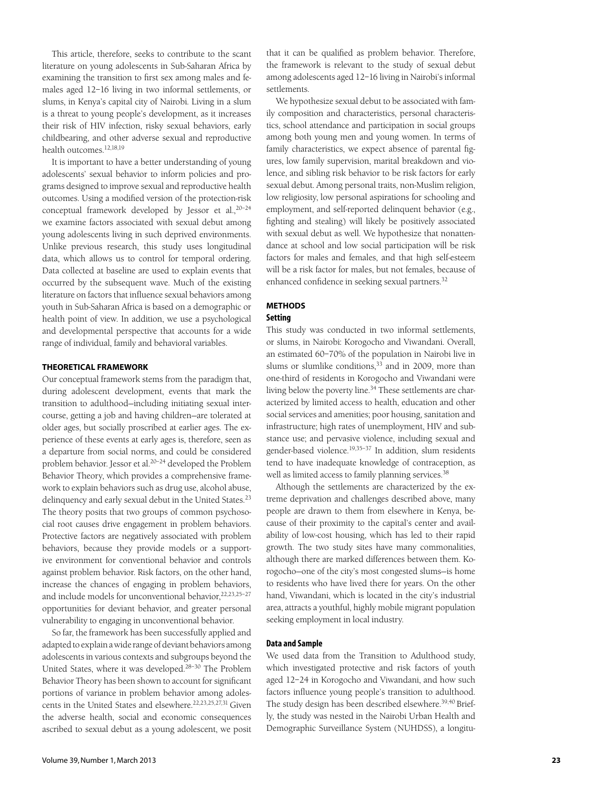This article, therefore, seeks to contribute to the scant literature on young adolescents in Sub-Saharan Africa by examining the transition to first sex among males and females aged 12–16 living in two informal settlements, or slums, in Kenya's capital city of Nairobi. Living in a slum is a threat to young people's development, as it increases their risk of HIV infection, risky sexual behaviors, early childbearing, and other adverse sexual and reproductive health outcomes.12,18,19

It is important to have a better understanding of young adolescents' sexual behavior to inform policies and programs designed to improve sexual and reproductive health outcomes. Using a modified version of the protection-risk conceptual framework developed by Jessor et al.,20–24 we examine factors associated with sexual debut among young adolescents living in such deprived environments. Unlike previous research, this study uses longitudinal data, which allows us to control for temporal ordering. Data collected at baseline are used to explain events that occurred by the subsequent wave. Much of the existing literature on factors that influence sexual behaviors among youth in Sub-Saharan Africa is based on a demographic or health point of view. In addition, we use a psychological and developmental perspective that accounts for a wide range of individual, family and behavioral variables.

### **Theoretical framework**

Our conceptual framework stems from the paradigm that, during adolescent development, events that mark the transition to adulthood—including initiating sexual intercourse, getting a job and having children—are tolerated at older ages, but socially proscribed at earlier ages. The experience of these events at early ages is, therefore, seen as a departure from social norms, and could be considered problem behavior. Jessor et al.20–24 developed the Problem Behavior Theory, which provides a comprehensive framework to explain behaviors such as drug use, alcohol abuse, delinquency and early sexual debut in the United States.<sup>23</sup> The theory posits that two groups of common psychosocial root causes drive engagement in problem behaviors. Protective factors are negatively associated with problem behaviors, because they provide models or a supportive environment for conventional behavior and controls against problem behavior. Risk factors, on the other hand, increase the chances of engaging in problem behaviors, and include models for unconventional behavior, <sup>22,23,25-27</sup> opportunities for deviant behavior, and greater personal vulnerability to engaging in unconventional behavior.

So far, the framework has been successfully applied and adapted to explain a wide range of deviant behaviors among adolescents in various contexts and subgroups beyond the United States, where it was developed.28–30 The Problem Behavior Theory has been shown to account for significant portions of variance in problem behavior among adolescents in the United States and elsewhere.22,23,25,27,31 Given the adverse health, social and economic consequences ascribed to sexual debut as a young adolescent, we posit that it can be qualified as problem behavior. Therefore, the framework is relevant to the study of sexual debut among adolescents aged 12–16 living in Nairobi's informal settlements.

We hypothesize sexual debut to be associated with family composition and characteristics, personal characteristics, school attendance and participation in social groups among both young men and young women. In terms of family characteristics, we expect absence of parental figures, low family supervision, marital breakdown and violence, and sibling risk behavior to be risk factors for early sexual debut. Among personal traits, non-Muslim religion, low religiosity, low personal aspirations for schooling and employment, and self-reported delinquent behavior (e.g., fighting and stealing) will likely be positively associated with sexual debut as well. We hypothesize that nonattendance at school and low social participation will be risk factors for males and females, and that high self-esteem will be a risk factor for males, but not females, because of enhanced confidence in seeking sexual partners.<sup>32</sup>

# **METHODS Setting**

This study was conducted in two informal settlements, or slums, in Nairobi: Korogocho and Viwandani. Overall, an estimated 60–70% of the population in Nairobi live in slums or slumlike conditions,  $33$  and in 2009, more than one-third of residents in Korogocho and Viwandani were living below the poverty line.<sup>34</sup> These settlements are characterized by limited access to health, education and other social services and amenities; poor housing, sanitation and infrastructure; high rates of unemployment, HIV and substance use; and pervasive violence, including sexual and gender-based violence.19,35–37 In addition, slum residents tend to have inadequate knowledge of contraception, as well as limited access to family planning services.<sup>38</sup>

Although the settlements are characterized by the extreme deprivation and challenges described above, many people are drawn to them from elsewhere in Kenya, because of their proximity to the capital's center and availability of low-cost housing, which has led to their rapid growth. The two study sites have many commonalities, although there are marked differences between them. Korogocho—one of the city's most congested slums—is home to residents who have lived there for years. On the other hand, Viwandani, which is located in the city's industrial area, attracts a youthful, highly mobile migrant population seeking employment in local industry.

## **Data and Sample**

We used data from the Transition to Adulthood study, which investigated protective and risk factors of youth aged 12–24 in Korogocho and Viwandani, and how such factors influence young people's transition to adulthood. The study design has been described elsewhere.<sup>39,40</sup> Briefly, the study was nested in the Nairobi Urban Health and Demographic Surveillance System (NUHDSS), a longitu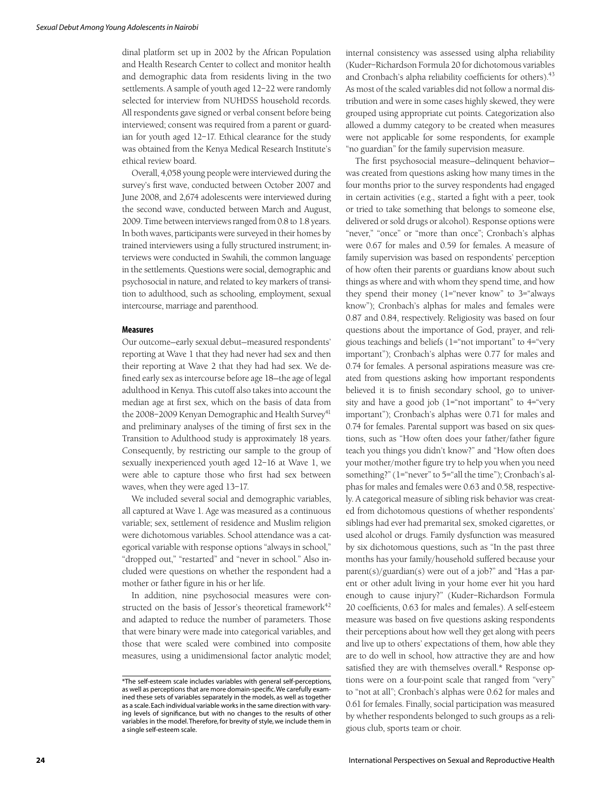dinal platform set up in 2002 by the African Population and Health Research Center to collect and monitor health and demographic data from residents living in the two settlements. A sample of youth aged 12–22 were randomly selected for interview from NUHDSS household records. All respondents gave signed or verbal consent before being interviewed; consent was required from a parent or guardian for youth aged 12–17. Ethical clearance for the study was obtained from the Kenya Medical Research Institute's ethical review board.

Overall, 4,058 young people were interviewed during the survey's first wave, conducted between October 2007 and June 2008, and 2,674 adolescents were interviewed during the second wave, conducted between March and August, 2009. Time between interviews ranged from 0.8 to 1.8 years. In both waves, participants were surveyed in their homes by trained interviewers using a fully structured instrument; interviews were conducted in Swahili, the common language in the settlements. Questions were social, demographic and psychosocial in nature, and related to key markers of transition to adulthood, such as schooling, employment, sexual intercourse, marriage and parenthood.

#### **Measures**

Our outcome—early sexual debut—measured respondents' reporting at Wave 1 that they had never had sex and then their reporting at Wave 2 that they had had sex. We defined early sex as intercourse before age 18—the age of legal adulthood in Kenya. This cutoff also takes into account the median age at first sex, which on the basis of data from the 2008–2009 Kenyan Demographic and Health Survey<sup>41</sup> and preliminary analyses of the timing of first sex in the Transition to Adulthood study is approximately 18 years. Consequently, by restricting our sample to the group of sexually inexperienced youth aged 12–16 at Wave 1, we were able to capture those who first had sex between waves, when they were aged 13–17.

We included several social and demographic variables, all captured at Wave 1. Age was measured as a continuous variable; sex, settlement of residence and Muslim religion were dichotomous variables. School attendance was a categorical variable with response options "always in school," "dropped out," "restarted" and "never in school." Also included were questions on whether the respondent had a mother or father figure in his or her life.

In addition, nine psychosocial measures were constructed on the basis of Jessor's theoretical framework $42$ and adapted to reduce the number of parameters. Those that were binary were made into categorical variables, and those that were scaled were combined into composite measures, using a unidimensional factor analytic model; internal consistency was assessed using alpha reliability (Kuder–Richardson Formula 20 for dichotomous variables and Cronbach's alpha reliability coefficients for others).<sup>43</sup> As most of the scaled variables did not follow a normal distribution and were in some cases highly skewed, they were grouped using appropriate cut points. Categorization also allowed a dummy category to be created when measures were not applicable for some respondents, for example "no guardian" for the family supervision measure.

The first psychosocial measure—delinquent behavior was created from questions asking how many times in the four months prior to the survey respondents had engaged in certain activities (e.g., started a fight with a peer, took or tried to take something that belongs to someone else, delivered or sold drugs or alcohol). Response options were "never," "once" or "more than once"; Cronbach's alphas were 0.67 for males and 0.59 for females. A measure of family supervision was based on respondents' perception of how often their parents or guardians know about such things as where and with whom they spend time, and how they spend their money (1="never know" to 3="always know"); Cronbach's alphas for males and females were 0.87 and 0.84, respectively. Religiosity was based on four questions about the importance of God, prayer, and religious teachings and beliefs (1="not important" to 4="very important"); Cronbach's alphas were 0.77 for males and 0.74 for females. A personal aspirations measure was created from questions asking how important respondents believed it is to finish secondary school, go to university and have a good job (1="not important" to 4="very important"); Cronbach's alphas were 0.71 for males and 0.74 for females. Parental support was based on six questions, such as "How often does your father/father figure teach you things you didn't know?" and "How often does your mother/mother figure try to help you when you need something?" (1="never" to 5="all the time"); Cronbach's alphas for males and females were 0.63 and 0.58, respectively. A categorical measure of sibling risk behavior was created from dichotomous questions of whether respondents' siblings had ever had premarital sex, smoked cigarettes, or used alcohol or drugs. Family dysfunction was measured by six dichotomous questions, such as "In the past three months has your family/household suffered because your parent(s)/guardian(s) were out of a job?" and "Has a parent or other adult living in your home ever hit you hard enough to cause injury?" (Kuder–Richardson Formula 20 coefficients, 0.63 for males and females). A self-esteem measure was based on five questions asking respondents their perceptions about how well they get along with peers and live up to others' expectations of them, how able they are to do well in school, how attractive they are and how satisfied they are with themselves overall.\* Response options were on a four-point scale that ranged from "very" to "not at all"; Cronbach's alphas were 0.62 for males and 0.61 for females. Finally, social participation was measured by whether respondents belonged to such groups as a religious club, sports team or choir.

<sup>\*</sup>The self-esteem scale includes variables with general self-perceptions, as well as perceptions that are more domain-specific. We carefully examined these sets of variables separately in the models, as well as together as a scale. Each individual variable works in the same direction with varying levels of significance, but with no changes to the results of other variables in the model. Therefore, for brevity of style, we include them in a single self-esteem scale.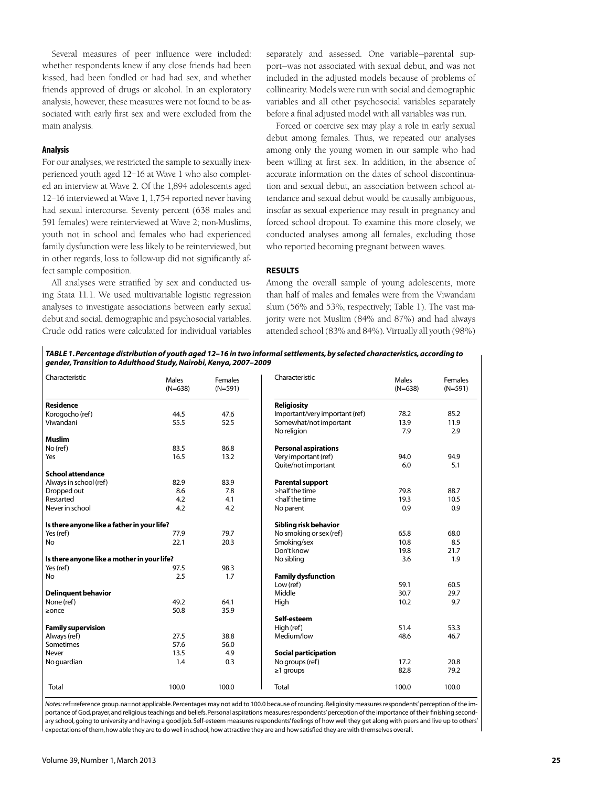Several measures of peer influence were included: whether respondents knew if any close friends had been kissed, had been fondled or had had sex, and whether friends approved of drugs or alcohol. In an exploratory analysis, however, these measures were not found to be associated with early first sex and were excluded from the main analysis.

#### **Analysis**

For our analyses, we restricted the sample to sexually inexperienced youth aged 12–16 at Wave 1 who also completed an interview at Wave 2. Of the 1,894 adolescents aged 12–16 interviewed at Wave 1, 1,754 reported never having had sexual intercourse. Seventy percent (638 males and 591 females) were reinterviewed at Wave 2; non-Muslims, youth not in school and females who had experienced family dysfunction were less likely to be reinterviewed, but in other regards, loss to follow-up did not significantly affect sample composition.

All analyses were stratified by sex and conducted using Stata 11.1. We used multivariable logistic regression analyses to investigate associations between early sexual debut and social, demographic and psychosocial variables. Crude odd ratios were calculated for individual variables

separately and assessed. One variable—parental support—was not associated with sexual debut, and was not included in the adjusted models because of problems of collinearity. Models were run with social and demographic variables and all other psychosocial variables separately before a final adjusted model with all variables was run.

Forced or coercive sex may play a role in early sexual debut among females. Thus, we repeated our analyses among only the young women in our sample who had been willing at first sex. In addition, in the absence of accurate information on the dates of school discontinuation and sexual debut, an association between school attendance and sexual debut would be causally ambiguous, insofar as sexual experience may result in pregnancy and forced school dropout. To examine this more closely, we conducted analyses among all females, excluding those who reported becoming pregnant between waves.

#### **RESULTS**

Among the overall sample of young adolescents, more than half of males and females were from the Viwandani slum (56% and 53%, respectively; Table 1). The vast majority were not Muslim (84% and 87%) and had always attended school (83% and 84%). Virtually all youth (98%)

*TABLE 1.Percentage distribution of youth aged 12–16 in two informal settlements, by selected characteristics, according to gender, Transition to Adulthood Study, Nairobi, Kenya, 2007–2009*

| Characteristic                              | Males<br>$(N=638)$ | Females<br>$(N=591)$           | Characteristic                                                | Males<br>$(N=638)$ | Females<br>$(N=591)$ |
|---------------------------------------------|--------------------|--------------------------------|---------------------------------------------------------------|--------------------|----------------------|
| <b>Residence</b>                            |                    |                                | <b>Religiosity</b>                                            |                    |                      |
| Korogocho (ref)                             | 44.5               | 47.6                           | Important/very important (ref)                                | 78.2               | 85.2                 |
| Viwandani                                   | 55.5               | 52.5<br>Somewhat/not important |                                                               | 13.9               | 11.9                 |
|                                             |                    |                                | No religion                                                   | 7.9                | 2.9                  |
| <b>Muslim</b>                               |                    |                                |                                                               |                    |                      |
| No (ref)                                    | 83.5               | 86.8                           | <b>Personal aspirations</b>                                   |                    |                      |
| Yes                                         | 16.5               | 13.2                           | Very important (ref)                                          | 94.0               | 94.9                 |
|                                             |                    |                                | Quite/not important                                           | 6.0                | 5.1                  |
| <b>School attendance</b>                    |                    |                                |                                                               |                    |                      |
| Always in school (ref)                      | 82.9               | 83.9                           | <b>Parental support</b>                                       |                    |                      |
| Dropped out                                 | 8.6                | 7.8                            | >half the time                                                | 79.8               | 88.7                 |
| Restarted                                   | 4.2                | 4.1                            | <half td="" the="" time<=""><td>19.3</td><td>10.5</td></half> | 19.3               | 10.5                 |
| Never in school                             | 4.2                | 4.2                            | No parent                                                     | 0.9                | 0.9                  |
| Is there anyone like a father in your life? |                    |                                | Sibling risk behavior                                         |                    |                      |
| Yes (ref)                                   | 77.9               | 79.7                           | No smoking or sex (ref)                                       | 65.8               | 68.0                 |
| No                                          | 22.1               | 20.3                           | Smoking/sex                                                   | 10.8               | 8.5                  |
|                                             |                    |                                | Don't know                                                    | 19.8               | 21.7                 |
| Is there anyone like a mother in your life? |                    |                                | No sibling                                                    | 3.6                | 1.9                  |
| Yes (ref)                                   | 97.5               | 98.3                           |                                                               |                    |                      |
| No                                          | 2.5                | 1.7                            | <b>Family dysfunction</b>                                     |                    |                      |
|                                             |                    |                                | Low (ref)                                                     | 59.1               | 60.5                 |
| <b>Delinguent behavior</b>                  |                    |                                | Middle                                                        | 30.7               | 29.7                 |
| None (ref)                                  | 49.2               | 64.1                           | High                                                          | 10.2               | 9.7                  |
| $\geq$ once                                 | 50.8               | 35.9                           |                                                               |                    |                      |
|                                             |                    |                                | Self-esteem                                                   |                    |                      |
| <b>Family supervision</b>                   |                    |                                | High (ref)                                                    | 51.4               | 53.3                 |
| Always (ref)                                | 27.5               | 38.8                           | Medium/low                                                    | 48.6               | 46.7                 |
| Sometimes                                   | 57.6               | 56.0                           |                                                               |                    |                      |
| Never                                       | 13.5               | 4.9                            | <b>Social participation</b>                                   |                    |                      |
| No guardian                                 | 1.4                | 0.3                            | No groups (ref)                                               | 17.2               | 20.8                 |
|                                             |                    |                                | $\geq$ 1 groups                                               | 82.8               | 79.2                 |
| Total                                       | 100.0              | 100.0                          | <b>Total</b>                                                  | 100.0              | 100.0                |

*Notes:* ref=reference group. na=not applicable. Percentages may not add to 100.0 because of rounding. Religiosity measures respondents' perception of the importance of God, prayer, and religious teachings and beliefs. Personal aspirations measures respondents' perception of the importance of their finishing secondary school, going to university and having a good job. Self-esteem measures respondents' feelings of how well they get along with peers and live up to others' expectations of them, how able they are to do well in school, how attractive they are and how satisfied they are with themselves overall.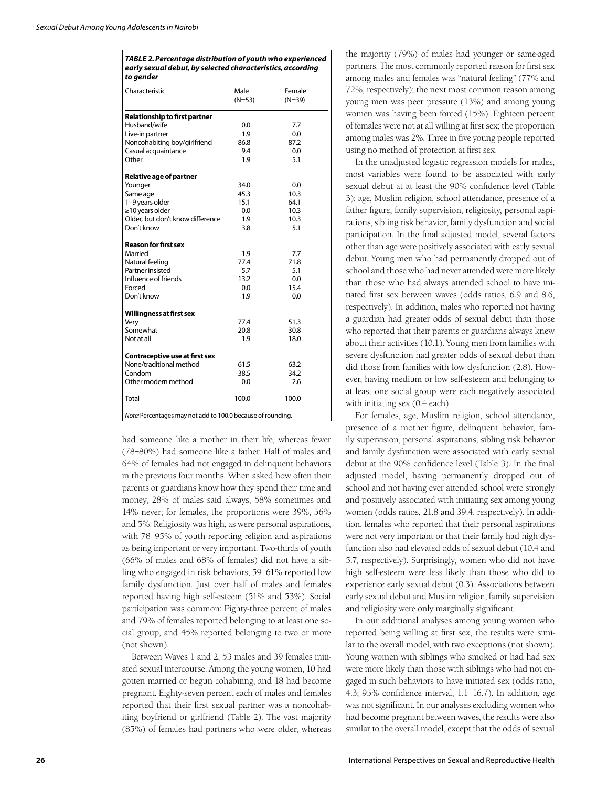Ï

| TABLE 2. Percentage distribution of youth who experienced  |
|------------------------------------------------------------|
| early sexual debut, by selected characteristics, according |
| to aender                                                  |

| Characteristic                        | Male<br>$(N=53)$ | Female<br>$(N=39)$ |  |  |  |
|---------------------------------------|------------------|--------------------|--|--|--|
| <b>Relationship to first partner</b>  |                  |                    |  |  |  |
| Husband/wife                          | 0.0              | 7.7                |  |  |  |
| Live-in partner                       | 1.9              | 0.0                |  |  |  |
| Noncohabiting boy/girlfriend          | 86.8             | 87.2               |  |  |  |
| Casual acquaintance                   | 9.4              | 0.0                |  |  |  |
| Other                                 | 1.9              | 5.1                |  |  |  |
| <b>Relative age of partner</b>        |                  |                    |  |  |  |
| Younger                               | 34.0             | 0.0                |  |  |  |
| Same age                              | 45.3             | 10.3               |  |  |  |
| 1-9 years older                       | 15.1             | 64.1               |  |  |  |
| $\geq$ 10 years older                 | 0.0              | 10.3               |  |  |  |
| Older, but don't know difference      | 1.9              | 10.3               |  |  |  |
| Don't know                            | 3.8              | 5.1                |  |  |  |
| <b>Reason for first sex</b>           |                  |                    |  |  |  |
| Married                               | 1.9              | 7.7                |  |  |  |
| Natural feeling                       | 77.4             | 71.8               |  |  |  |
| Partner insisted                      | 5.7              | 5.1                |  |  |  |
| Influence of friends                  | 13.2             | 0.0                |  |  |  |
| Forced                                | 0.0              | 15.4               |  |  |  |
| Don't know                            | 1.9              | 0.0                |  |  |  |
| <b>Willingness at first sex</b>       |                  |                    |  |  |  |
| Very                                  | 77.4             | 51.3               |  |  |  |
| Somewhat                              | 20.8             | 30.8               |  |  |  |
| Not at all                            | 1.9              | 18.0               |  |  |  |
| <b>Contraceptive use at first sex</b> |                  |                    |  |  |  |
| None/traditional method               | 61.5             | 63.2               |  |  |  |
| Condom                                | 38.5             | 34.2               |  |  |  |
| Other modern method                   | 0.0              | 2.6                |  |  |  |
| Total                                 | 100.0            | 100.0              |  |  |  |

*Note:* Percentages may not add to 100.0 because of rounding.

had someone like a mother in their life, whereas fewer (78–80%) had someone like a father. Half of males and 64% of females had not engaged in delinquent behaviors in the previous four months. When asked how often their parents or guardians know how they spend their time and money, 28% of males said always, 58% sometimes and 14% never; for females, the proportions were 39%, 56% and 5%. Religiosity was high, as were personal aspirations, with 78–95% of youth reporting religion and aspirations as being important or very important. Two-thirds of youth (66% of males and 68% of females) did not have a sibling who engaged in risk behaviors; 59–61% reported low family dysfunction. Just over half of males and females reported having high self-esteem (51% and 53%). Social participation was common: Eighty-three percent of males and 79% of females reported belonging to at least one social group, and 45% reported belonging to two or more (not shown).

Between Waves 1 and 2, 53 males and 39 females initiated sexual intercourse. Among the young women, 10 had gotten married or begun cohabiting, and 18 had become pregnant. Eighty-seven percent each of males and females reported that their first sexual partner was a noncohabiting boyfriend or girlfriend (Table 2). The vast majority (85%) of females had partners who were older, whereas

the majority (79%) of males had younger or same-aged partners. The most commonly reported reason for first sex among males and females was "natural feeling" (77% and 72%, respectively); the next most common reason among young men was peer pressure (13%) and among young women was having been forced (15%). Eighteen percent of females were not at all willing at first sex; the proportion among males was 2%. Three in five young people reported using no method of protection at first sex.

In the unadjusted logistic regression models for males, most variables were found to be associated with early sexual debut at at least the 90% confidence level (Table 3): age, Muslim religion, school attendance, presence of a father figure, family supervision, religiosity, personal aspirations, sibling risk behavior, family dysfunction and social participation. In the final adjusted model, several factors other than age were positively associated with early sexual debut. Young men who had permanently dropped out of school and those who had never attended were more likely than those who had always attended school to have initiated first sex between waves (odds ratios, 6.9 and 8.6, respectively). In addition, males who reported not having a guardian had greater odds of sexual debut than those who reported that their parents or guardians always knew about their activities (10.1). Young men from families with severe dysfunction had greater odds of sexual debut than did those from families with low dysfunction (2.8). However, having medium or low self-esteem and belonging to at least one social group were each negatively associated with initiating sex (0.4 each).

For females, age, Muslim religion, school attendance, presence of a mother figure, delinquent behavior, family supervision, personal aspirations, sibling risk behavior and family dysfunction were associated with early sexual debut at the 90% confidence level (Table 3). In the final adjusted model, having permanently dropped out of school and not having ever attended school were strongly and positively associated with initiating sex among young women (odds ratios, 21.8 and 39.4, respectively). In addition, females who reported that their personal aspirations were not very important or that their family had high dysfunction also had elevated odds of sexual debut (10.4 and 5.7, respectively). Surprisingly, women who did not have high self-esteem were less likely than those who did to experience early sexual debut (0.3). Associations between early sexual debut and Muslim religion, family supervision and religiosity were only marginally significant.

In our additional analyses among young women who reported being willing at first sex, the results were similar to the overall model, with two exceptions (not shown). Young women with siblings who smoked or had had sex were more likely than those with siblings who had not engaged in such behaviors to have initiated sex (odds ratio, 4.3; 95% confidence interval, 1.1–16.7). In addition, age was not significant. In our analyses excluding women who had become pregnant between waves, the results were also similar to the overall model, except that the odds of sexual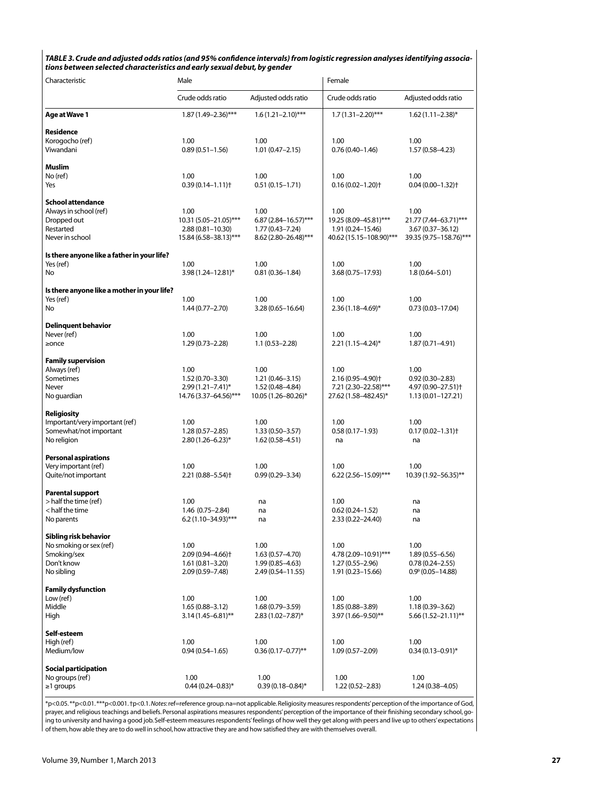| TABLE 3. Crude and adjusted odds ratios (and 95% confidence intervals) from logistic regression analyses identifying associa- |
|-------------------------------------------------------------------------------------------------------------------------------|
| tions between selected characteristics and early sexual debut, by gender                                                      |

| Characteristic                                      | Male                                                    |                                            | Female                                      |                                            |  |
|-----------------------------------------------------|---------------------------------------------------------|--------------------------------------------|---------------------------------------------|--------------------------------------------|--|
|                                                     | Crude odds ratio                                        | Adjusted odds ratio                        | Crude odds ratio                            | Adjusted odds ratio                        |  |
| Age at Wave 1                                       | $1.87(1.49 - 2.36)$ ***                                 | $1.6(1.21 - 2.10)$ ***                     | $1.7(1.31 - 2.20)$ ***                      | $1.62(1.11 - 2.38)^{*}$                    |  |
| <b>Residence</b>                                    |                                                         |                                            |                                             |                                            |  |
| Korogocho (ref)                                     | 1.00                                                    | 1.00                                       | 1.00                                        | 1.00                                       |  |
| Viwandani                                           | $0.89(0.51 - 1.56)$                                     | $1.01(0.47 - 2.15)$                        | $0.76(0.40 - 1.46)$                         | $1.57(0.58 - 4.23)$                        |  |
| <b>Muslim</b>                                       |                                                         |                                            |                                             |                                            |  |
| No (ref)                                            | 1.00                                                    | 1.00                                       | 1.00                                        | 1.00                                       |  |
| Yes                                                 | $0.39(0.14 - 1.11)$ <sup>+</sup>                        | $0.51(0.15 - 1.71)$                        | $0.16(0.02 - 1.20)$ <sup>+</sup>            | $0.04(0.00 - 1.32)$ <sup>+</sup>           |  |
| <b>School attendance</b>                            |                                                         |                                            |                                             |                                            |  |
| Always in school (ref)                              | 1.00                                                    | 1.00                                       | 1.00                                        | 1.00                                       |  |
| Dropped out                                         | 10.31 (5.05-21.05)***                                   | $6.87(2.84 - 16.57)$ ***                   | 19.25 (8.09-45.81)***                       | 21.77 (7.44-63.71)***                      |  |
| Restarted                                           | $2.88(0.81 - 10.30)$                                    | $1.77(0.43 - 7.24)$                        | 1.91 (0.24–15.46)                           | 3.67 (0.37-36.12)                          |  |
| Never in school                                     | 15.84 (6.58-38.13)***                                   | 8.62 (2.80-26.48)***                       | 40.62 (15.15-108.90)***                     | 39.35 (9.75-158.76)***                     |  |
| Is there anyone like a father in your life?         |                                                         |                                            |                                             |                                            |  |
| Yes (ref)                                           | 1.00                                                    | 1.00                                       | 1.00                                        | 1.00                                       |  |
| No                                                  | 3.98 (1.24-12.81)*                                      | $0.81(0.36 - 1.84)$                        | 3.68 (0.75-17.93)                           | $1.8(0.64 - 5.01)$                         |  |
| Is there anyone like a mother in your life?         |                                                         |                                            |                                             |                                            |  |
| Yes (ref)                                           | 1.00                                                    | 1.00                                       | 1.00                                        | 1.00                                       |  |
| No                                                  | $1.44(0.77 - 2.70)$                                     | $3.28(0.65 - 16.64)$                       | $2.36(1.18 - 4.69)^{*}$                     | $0.73(0.03 - 17.04)$                       |  |
| <b>Delinquent behavior</b>                          |                                                         |                                            |                                             |                                            |  |
| Never (ref)                                         | 1.00                                                    | 1.00                                       | 1.00                                        | 1.00                                       |  |
| $\geq$ once                                         | $1.29(0.73 - 2.28)$                                     | $1.1(0.53 - 2.28)$                         | $2.21(1.15 - 4.24)^*$                       | $1.87(0.71 - 4.91)$                        |  |
|                                                     |                                                         |                                            |                                             |                                            |  |
| <b>Family supervision</b>                           | 1.00                                                    | 1.00                                       | 1.00                                        | 1.00                                       |  |
| Always (ref)<br>Sometimes                           | $1.52(0.70 - 3.30)$                                     | $1.21(0.46 - 3.15)$                        | $2.16(0.95 - 4.90)$ <sup>+</sup>            | $0.92(0.30 - 2.83)$                        |  |
| Never                                               | $2.99(1.21 - 7.41)^*$                                   | 1.52 (0.48-4.84)                           | 7.21 (2.30-22.58)***                        | 4.97 (0.90-27.51) <sup>+</sup>             |  |
| No guardian                                         | 14.76 (3.37-64.56)***                                   | 10.05 (1.26-80.26)*                        | 27.62 (1.58-482.45)*                        | $1.13(0.01 - 127.21)$                      |  |
|                                                     |                                                         |                                            |                                             |                                            |  |
| Religiosity<br>Important/very important (ref)       | 1.00                                                    | 1.00                                       | 1.00                                        | 1.00                                       |  |
| Somewhat/not important                              | $1.28(0.57 - 2.85)$                                     | $1.33(0.50 - 3.57)$                        | $0.58(0.17 - 1.93)$                         | $0.17(0.02 - 1.31)$                        |  |
| No religion                                         | $2.80(1.26 - 6.23)^{*}$                                 | $1.62(0.58 - 4.51)$                        | na                                          | na                                         |  |
|                                                     |                                                         |                                            |                                             |                                            |  |
| <b>Personal aspirations</b><br>Very important (ref) | 1.00                                                    | 1.00                                       | 1.00                                        | 1.00                                       |  |
| Quite/not important                                 | $2.21(0.88 - 5.54)$                                     | $0.99(0.29 - 3.34)$                        | $6.22(2.56 - 15.09)$ ***                    | 10.39 (1.92-56.35)**                       |  |
|                                                     |                                                         |                                            |                                             |                                            |  |
| <b>Parental support</b><br>> half the time (ref)    |                                                         |                                            |                                             |                                            |  |
| < half the time                                     | 1.00<br>$1.46(0.75 - 2.84)$                             | na<br>na                                   | 1.00<br>$0.62(0.24 - 1.52)$                 | na<br>na                                   |  |
| No parents                                          | $6.2(1.10-34.93)$ ***                                   | na                                         | $2.33(0.22 - 24.40)$                        | na                                         |  |
|                                                     |                                                         |                                            |                                             |                                            |  |
| Sibling risk behavior                               |                                                         |                                            |                                             |                                            |  |
| No smoking or sex (ref)                             | 1.00                                                    | 1.00                                       | 1.00                                        | 1.00                                       |  |
| Smoking/sex<br>Don't know                           | $2.09(0.94 - 4.66)$ <sup>+</sup><br>$1.61(0.81 - 3.20)$ | $1.63(0.57 - 4.70)$<br>$1.99(0.85 - 4.63)$ | 4.78 (2.09-10.91)***<br>$1.27(0.55 - 2.96)$ | $1.89(0.55 - 6.56)$<br>$0.78(0.24 - 2.55)$ |  |
| No sibling                                          | $2.09(0.59 - 7.48)$                                     | 2.49 (0.54–11.55)                          | 1.91 (0.23–15.66)                           | $0.9^{\circ}$ (0.05-14.88)                 |  |
|                                                     |                                                         |                                            |                                             |                                            |  |
| <b>Family dysfunction</b><br>Low (ref)              | 1.00                                                    | 1.00                                       | 1.00                                        | 1.00                                       |  |
| Middle                                              | $1.65(0.88 - 3.12)$                                     | 1.68 (0.79-3.59)                           | 1.85 (0.88-3.89)                            | 1.18 (0.39-3.62)                           |  |
| High                                                | $3.14(1.45 - 6.81)$ **                                  | $2.83(1.02 - 7.87)^*$                      | 3.97 (1.66-9.50)**                          | $5.66(1.52 - 21.11)$ **                    |  |
|                                                     |                                                         |                                            |                                             |                                            |  |
| Self-esteem<br>High (ref)                           | 1.00                                                    | 1.00                                       | 1.00                                        | 1.00                                       |  |
| Medium/low                                          | $0.94(0.54 - 1.65)$                                     | $0.36(0.17 - 0.77)$ **                     | $1.09(0.57 - 2.09)$                         | $0.34(0.13 - 0.91)^{*}$                    |  |
|                                                     |                                                         |                                            |                                             |                                            |  |
| <b>Social participation</b>                         | 1.00                                                    | 1.00                                       |                                             | 1.00                                       |  |
| No groups (ref)<br>$\geq$ 1 groups                  | $0.44(0.24 - 0.83)$ *                                   | $0.39(0.18 - 0.84)$ *                      | 1.00<br>$1.22(0.52 - 2.83)$                 | $1.24(0.38 - 4.05)$                        |  |
|                                                     |                                                         |                                            |                                             |                                            |  |

\*p<0.05. \*\*p<0.01. \*\*\*p<0.001. †p<0.1. *Notes*: ref=reference group. na=not applicable. Religiosity measures respondents' perception of the importance of God, prayer, and religious teachings and beliefs. Personal aspirations measures respondents' perception of the importance of their finishing secondary school, going to university and having a good job. Self-esteem measures respondents' feelings of how well they get along with peers and live up to others' expectations of them, how able they are to do well in school, how attractive they are and how satisfied they are with themselves overall.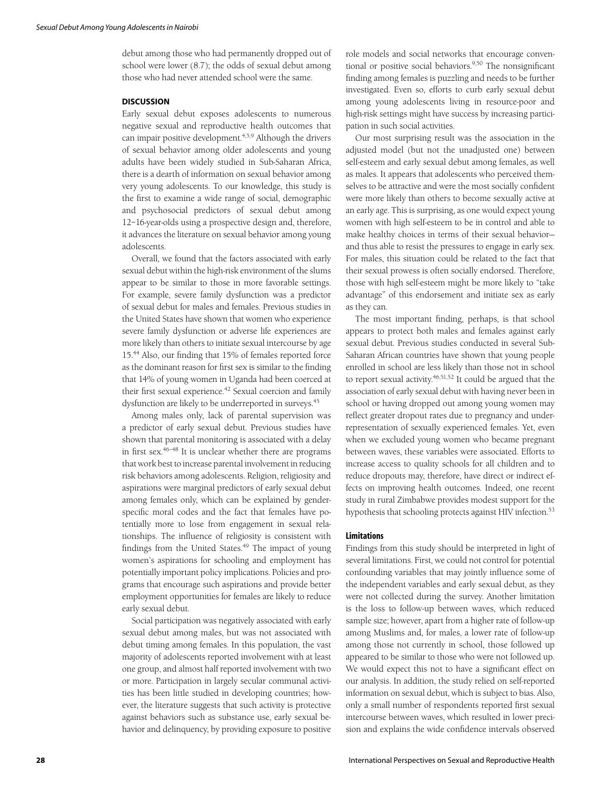debut among those who had permanently dropped out of school were lower (8.7); the odds of sexual debut among those who had never attended school were the same.

# **DISCUSSION**

Early sexual debut exposes adolescents to numerous negative sexual and reproductive health outcomes that can impair positive development.<sup>4,5,9</sup> Although the drivers of sexual behavior among older adolescents and young adults have been widely studied in Sub-Saharan Africa, there is a dearth of information on sexual behavior among very young adolescents. To our knowledge, this study is the first to examine a wide range of social, demographic and psychosocial predictors of sexual debut among 12–16-year-olds using a prospective design and, therefore, it advances the literature on sexual behavior among young adolescents.

Overall, we found that the factors associated with early sexual debut within the high-risk environment of the slums appear to be similar to those in more favorable settings. For example, severe family dysfunction was a predictor of sexual debut for males and females. Previous studies in the United States have shown that women who experience severe family dysfunction or adverse life experiences are more likely than others to initiate sexual intercourse by age 15.44 Also, our finding that 15% of females reported force as the dominant reason for first sex is similar to the finding that 14% of young women in Uganda had been coerced at their first sexual experience.<sup>42</sup> Sexual coercion and family dysfunction are likely to be underreported in surveys.<sup>45</sup>

Among males only, lack of parental supervision was a predictor of early sexual debut. Previous studies have shown that parental monitoring is associated with a delay in first sex. $46-48$  It is unclear whether there are programs that work best to increase parental involvement in reducing risk behaviors among adolescents. Religion, religiosity and aspirations were marginal predictors of early sexual debut among females only, which can be explained by genderspecific moral codes and the fact that females have potentially more to lose from engagement in sexual relationships. The influence of religiosity is consistent with findings from the United States.<sup>49</sup> The impact of young women's aspirations for schooling and employment has potentially important policy implications. Policies and programs that encourage such aspirations and provide better employment opportunities for females are likely to reduce early sexual debut.

Social participation was negatively associated with early sexual debut among males, but was not associated with debut timing among females. In this population, the vast majority of adolescents reported involvement with at least one group, and almost half reported involvement with two or more. Participation in largely secular communal activities has been little studied in developing countries; however, the literature suggests that such activity is protective against behaviors such as substance use, early sexual behavior and delinquency, by providing exposure to positive

role models and social networks that encourage conventional or positive social behaviors.<sup>9,50</sup> The nonsignificant finding among females is puzzling and needs to be further investigated. Even so, efforts to curb early sexual debut among young adolescents living in resource-poor and high-risk settings might have success by increasing participation in such social activities.

Our most surprising result was the association in the adjusted model (but not the unadjusted one) between self-esteem and early sexual debut among females, as well as males. It appears that adolescents who perceived themselves to be attractive and were the most socially confident were more likely than others to become sexually active at an early age. This is surprising, as one would expect young women with high self-esteem to be in control and able to make healthy choices in terms of their sexual behavior and thus able to resist the pressures to engage in early sex. For males, this situation could be related to the fact that their sexual prowess is often socially endorsed. Therefore, those with high self-esteem might be more likely to "take advantage" of this endorsement and initiate sex as early as they can.

The most important finding, perhaps, is that school appears to protect both males and females against early sexual debut. Previous studies conducted in several Sub-Saharan African countries have shown that young people enrolled in school are less likely than those not in school to report sexual activity.<sup>46,51,52</sup> It could be argued that the association of early sexual debut with having never been in school or having dropped out among young women may reflect greater dropout rates due to pregnancy and underrepresentation of sexually experienced females. Yet, even when we excluded young women who became pregnant between waves, these variables were associated. Efforts to increase access to quality schools for all children and to reduce dropouts may, therefore, have direct or indirect effects on improving health outcomes. Indeed, one recent study in rural Zimbabwe provides modest support for the hypothesis that schooling protects against HIV infection.<sup>53</sup>

#### **Limitations**

Findings from this study should be interpreted in light of several limitations. First, we could not control for potential confounding variables that may jointly influence some of the independent variables and early sexual debut, as they were not collected during the survey. Another limitation is the loss to follow-up between waves, which reduced sample size; however, apart from a higher rate of follow-up among Muslims and, for males, a lower rate of follow-up among those not currently in school, those followed up appeared to be similar to those who were not followed up. We would expect this not to have a significant effect on our analysis. In addition, the study relied on self-reported information on sexual debut, which is subject to bias. Also, only a small number of respondents reported first sexual intercourse between waves, which resulted in lower precision and explains the wide confidence intervals observed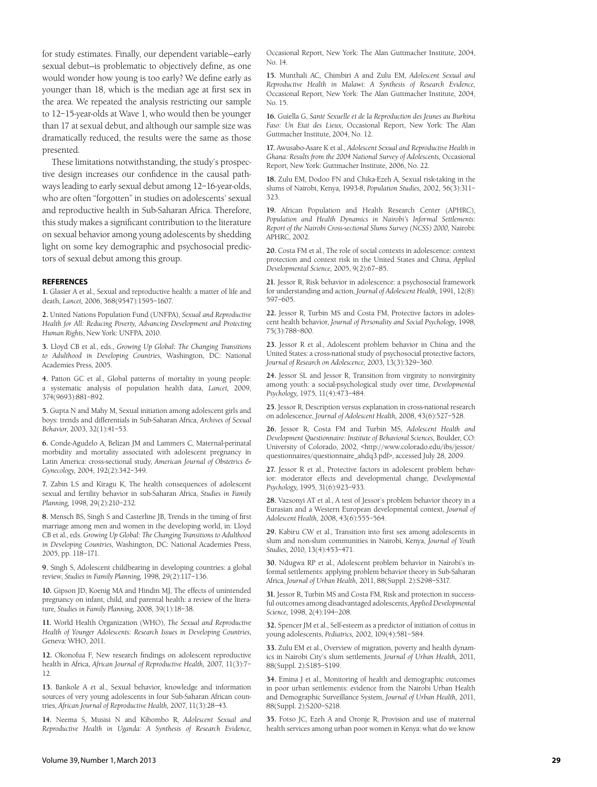for study estimates. Finally, our dependent variable—early sexual debut—is problematic to objectively define, as one would wonder how young is too early? We define early as younger than 18, which is the median age at first sex in the area. We repeated the analysis restricting our sample to 12–15-year-olds at Wave 1, who would then be younger than 17 at sexual debut, and although our sample size was dramatically reduced, the results were the same as those presented.

These limitations notwithstanding, the study's prospective design increases our confidence in the causal pathways leading to early sexual debut among 12–16-year-olds, who are often "forgotten" in studies on adolescents' sexual and reproductive health in Sub-Saharan Africa. Therefore, this study makes a significant contribution to the literature on sexual behavior among young adolescents by shedding light on some key demographic and psychosocial predictors of sexual debut among this group.

#### **REFERENCES**

**1.** Glasier A et al., Sexual and reproductive health: a matter of life and death, *Lancet,* 2006, 368(9547):1595–1607.

**2.** United Nations Population Fund (UNFPA), *Sexual and Reproductive Health for All: Reducing Poverty, Advancing Development and Protecting Human Rights*, New York: UNFPA, 2010.

**3.** Lloyd CB et al., eds., *Growing Up Global: The Changing Transitions to Adulthood in Developing Countries*, Washington, DC: National Academies Press, 2005.

**4.** Patton GC et al., Global patterns of mortality in young people: a systematic analysis of population health data, *Lancet,* 2009, 374(9693):881–892.

**5.** Gupta N and Mahy M, Sexual initiation among adolescent girls and boys: trends and differentials in Sub-Saharan Africa, *Archives of Sexual Behavior,* 2003, 32(1):41–53.

**6.** Conde-Agudelo A, Belizan JM and Lammers C, Maternal-perinatal morbidity and mortality associated with adolescent pregnancy in Latin America: cross-sectional study, *American Journal of Obstetrics & Gynecology,* 2004, 192(2):342–349.

**7.** Zabin LS and Kiragu K, The health consequences of adolescent sexual and fertility behavior in sub-Saharan Africa, *Studies in Family Planning,* 1998, 29(2):210–232.

**8.** Mensch BS, Singh S and Casterline JB, Trends in the timing of first marriage among men and women in the developing world, in: Lloyd CB et al., eds. *Growing Up Global: The Changing Transitions to Adulthood in Developing Countries*, Washington, DC: National Academies Press, 2005, pp. 118–171.

**9.** Singh S, Adolescent childbearing in developing countries: a global review, *Studies in Family Planning,* 1998, 29(2):117–136.

**10.** Gipson JD, Koenig MA and Hindin MJ, The effects of unintended pregnancy on infant, child, and parental health: a review of the literature, *Studies in Family Planning,* 2008, 39(1):18–38.

**11.** World Health Organization (WHO), *The Sexual and Reproductive Health of Younger Adolescents: Research Issues in Developing Countries*, Geneva: WHO, 2011.

**12.** Okonofua F, New research findings on adolescent reproductive health in Africa, *African Journal of Reproductive Health,* 2007, 11(3):7– 12.

**13.** Bankole A et al., Sexual behavior, knowledge and information sources of very young adolescents in four Sub-Saharan African countries, *African Journal of Reproductive Health,* 2007, 11(3):28–43.

**14.** Neema S, Musisi N and Kibombo R, *Adolescent Sexual and Reproductive Health in Uganda: A Synthesis of Research Evidence,*

Occasional Report, New York: The Alan Guttmacher Institute, 2004, No. 14.

**15.** Munthali AC, Chimbiri A and Zulu EM, *Adolescent Sexual and Reproductive Health in Malawi: A Synthesis of Research Evidence,* Occasional Report, New York: The Alan Guttmacher Institute, 2004, No. 15.

**16.** Guiella G, *Santé Sexuelle et de la Reproduction des Jeunes au Burkina Faso: Un Etat des Lieux,* Occasional Report, New York: The Alan Guttmacher Institute, 2004, No. 12.

**17.** Awusabo-Asare K et al., *Adolescent Sexual and Reproductive Health in Ghana: Results from the 2004 National Survey of Adolescents,* Occasional Report, New York: Guttmacher Institute, 2006, No. 22.

**18.** Zulu EM, Dodoo FN and Chika-Ezeh A, Sexual risk-taking in the slums of Nairobi, Kenya, 1993-8, *Population Studies,* 2002, 56(3):311– 323.

**19.** African Population and Health Research Center (APHRC), *Population and Health Dynamics in Nairobi's Informal Settlements: Report of the Nairobi Cross-sectional Slums Survey (NCSS) 2000,* Nairobi: APHRC, 2002.

**20.** Costa FM et al., The role of social contexts in adolescence: context protection and context risk in the United States and China, *Applied Developmental Science,* 2005, 9(2):67–85.

**21.** Jessor R, Risk behavior in adolescence: a psychosocial framework for understanding and action, *Journal of Adolescent Health,* 1991, 12(8): 597–605.

**22.** Jessor R, Turbin MS and Costa FM, Protective factors in adolescent health behavior, *Journal of Personality and Social Psychology,* 1998, 75(3):788–800.

**23.** Jessor R et al., Adolescent problem behavior in China and the United States: a cross-national study of psychosocial protective factors, *Journal of Research on Adolescence,* 2003, 13(3):329–360.

**24.** Jessor SL and Jessor R, Transition from virginity to nonvirginity among youth: a social-psychological study over time, *Developmental Psychology,* 1975, 11(4):473–484.

**25.** Jessor R, Description versus explanation in cross-national research on adolescence, *Journal of Adolescent Health,* 2008, 43(6):527–528.

**26.** Jessor R, Costa FM and Turbin MS, *Adolescent Health and Development Questionnaire: Institute of Behavioral Sciences,* Boulder, CO: University of Colorado, 2002, <http://www.colorado.edu/ibs/jessor/ questionnaires/questionnaire\_ahdq3.pdf>, accessed July 28, 2009.

**27.** Jessor R et al., Protective factors in adolescent problem behavior: moderator effects and developmental change, *Developmental Psychology,* 1995, 31(6):923–933.

**28.** Vazsonyi AT et al., A test of Jessor's problem behavior theory in a Eurasian and a Western European developmental context, *Journal of Adolescent Health,* 2008, 43(6):555–564.

**29.** Kabiru CW et al., Transition into first sex among adolescents in slum and non-slum communities in Nairobi, Kenya, *Journal of Youth Studies,* 2010, 13(4):453–471.

**30.** Ndugwa RP et al., Adolescent problem behavior in Nairobi's informal settlements: applying problem behavior theory in Sub-Saharan Africa, *Journal of Urban Health,* 2011, 88(Suppl. 2):S298–S317.

**31.** Jessor R, Turbin MS and Costa FM, Risk and protection in successful outcomes among disadvantaged adolescents, *Applied Developmental Science,* 1998, 2(4):194–208.

**32.** Spencer JM et al., Self-esteem as a predictor of initiation of coitus in young adolescents, *Pediatrics,* 2002, 109(4):581–584.

**33.** Zulu EM et al., Overview of migration, poverty and health dynamics in Nairobi City's slum settlements, *Journal of Urban Health,* 2011, 88(Suppl. 2):S185–S199.

**34.** Emina J et al., Monitoring of health and demographic outcomes in poor urban settlements: evidence from the Nairobi Urban Health and Demographic Surveillance System, *Journal of Urban Health,* 2011, 88(Suppl. 2):S200–S218.

**35.** Fotso JC, Ezeh A and Oronje R, Provision and use of maternal health services among urban poor women in Kenya: what do we know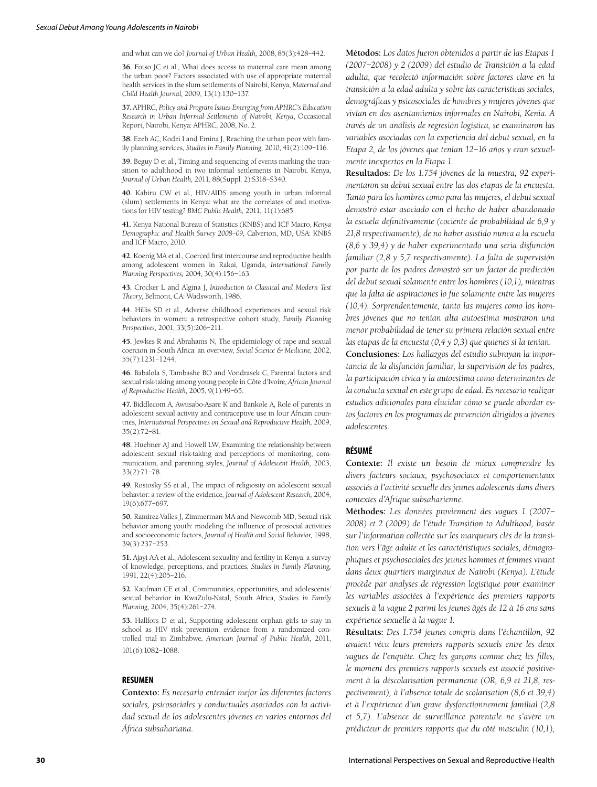and what can we do? *Journal of Urban Health,* 2008, 85(3):428–442.

**36.** Fotso JC et al., What does access to maternal care mean among the urban poor? Factors associated with use of appropriate maternal health services in the slum settlements of Nairobi, Kenya, *Maternal and Child Health Journal,* 2009, 13(1):130–137.

**37.** APHRC, *Policy and Program Issues Emerging from APHRC's Education Research in Urban Informal Settlements of Nairobi, Kenya*, Occasional Report, Nairobi, Kenya: APHRC, 2008, No. 2.

**38.** Ezeh AC, Kodzi I and Emina J, Reaching the urban poor with family planning services, *Studies in Family Planning,* 2010, 41(2):109–116.

**39.** Beguy D et al., Timing and sequencing of events marking the transition to adulthood in two informal settlements in Nairobi, Kenya, *Journal of Urban Health,* 2011, 88(Suppl. 2):S318–S340.

**40.** Kabiru CW et al., HIV/AIDS among youth in urban informal (slum) settlements in Kenya: what are the correlates of and motivations for HIV testing? *BMC Public Health,* 2011, 11(1):685.

**41.** Kenya National Bureau of Statistics (KNBS) and ICF Macro, *Kenya Demographic and Health Survey 2008–09,* Calverton, MD, USA: KNBS and ICF Macro, 2010.

**42.** Koenig MA et al., Coerced first intercourse and reproductive health among adolescent women in Rakai, Uganda, *International Family Planning Perspectives,* 2004, 30(4):156–163.

**43.** Crocker L and Algina J, *Introduction to Classical and Modern Test Theory*, Belmont, CA: Wadsworth, 1986.

**44.** Hillis SD et al., Adverse childhood experiences and sexual risk behaviors in women: a retrospective cohort study, *Family Planning Perspectives,* 2001, 33(5):206–211.

**45.** Jewkes R and Abrahams N, The epidemiology of rape and sexual coercion in South Africa: an overview, *Social Science & Medicine,* 2002, 55(7):1231–1244.

**46.** Babalola S, Tambashe BO and Vondrasek C, Parental factors and sexual risk-taking among young people in Côte d'Ivoire, *African Journal of Reproductive Health,* 2005, 9(1):49–65.

**47.** Biddlecom A, Awusabo-Asare K and Bankole A, Role of parents in adolescent sexual activity and contraceptive use in four African countries, *International Perspectives on Sexual and Reproductive Health,* 2009, 35(2):72–81.

**48.** Huebner AJ and Howell LW, Examining the relationship between adolescent sexual risk-taking and perceptions of monitoring, communication, and parenting styles, *Journal of Adolescent Health,* 2003, 33(2):71–78.

**49.** Rostosky SS et al., The impact of religiosity on adolescent sexual behavior: a review of the evidence, *Journal of Adolescent Research,* 2004, 19(6):677–697.

**50.** Ramirez-Valles J, Zimmerman MA and Newcomb MD, Sexual risk behavior among youth: modeling the influence of prosocial activities and socioeconomic factors, *Journal of Health and Social Behavior,* 1998, 39(3):237–253.

**51.** Ajayi AA et al., Adolescent sexuality and fertility in Kenya: a survey of knowledge, perceptions, and practices, *Studies in Family Planning,* 1991, 22(4):205–216.

**52.** Kaufman CE et al., Communities, opportunities, and adolescents' sexual behavior in KwaZulu-Natal, South Africa, *Studies in Family Planning,* 2004, 35(4):261–274.

**53.** Hallfors D et al., Supporting adolescent orphan girls to stay in school as HIV risk prevention: evidence from a randomized controlled trial in Zimbabwe, *American Journal of Public Health,* 2011, 101(6):1082–1088.

#### **RESUMEN**

**Contexto:** *Es necesario entender mejor los diferentes factores sociales, psicosociales y conductuales asociados con la actividad sexual de los adolescentes jóvenes en varios entornos del África subsahariana.*

**Métodos:** *Los datos fueron obtenidos a partir de las Etapas 1 (2007–2008) y 2 (2009) del estudio de Transición a la edad adulta, que recolectó información sobre factores clave en la transición a la edad adulta y sobre las características sociales, demográficas y psicosociales de hombres y mujeres jóvenes que vivían en dos asentamientos informales en Nairobi, Kenia. A través de un análisis de regresión logística, se examinaron las variables asociadas con la experiencia del debut sexual, en la Etapa 2, de los jóvenes que tenían 12–16 años y eran sexualmente inexpertos en la Etapa 1.*

**Resultados:** *De los 1.754 jóvenes de la muestra, 92 experimentaron su debut sexual entre las dos etapas de la encuesta. Tanto para los hombres como para las mujeres, el debut sexual demostró estar asociado con el hecho de haber abandonado la escuela definitivamente (cociente de probabilidad de 6,9 y 21,8 respectivamente), de no haber asistido nunca a la escuela (8,6 y 39,4) y de haber experimentado una seria disfunción familiar (2,8 y 5,7 respectivamente). La falta de supervisión por parte de los padres demostró ser un factor de predicción del debut sexual solamente entre los hombres (10,1), mientras que la falta de aspiraciones lo fue solamente entre las mujeres (10,4). Sorprendentemente, tanto las mujeres como los hombres jóvenes que no tenían alta autoestima mostraron una menor probabilidad de tener su primera relación sexual entre las etapas de la encuesta (0,4 y 0,3) que quienes sí la tenían.*

**Conclusiones:** *Los hallazgos del estudio subrayan la importancia de la disfunción familiar, la supervisión de los padres, la participación cívica y la autoestima como determinantes de la conducta sexual en este grupo de edad. Es necesario realizar estudios adicionales para elucidar cómo se puede abordar estos factores en los programas de prevención dirigidos a jóvenes adolescentes.*

# **RÉSUMÉ**

**Contexte:** *Il existe un besoin de mieux comprendre les divers facteurs sociaux, psychosociaux et comportementaux associés à l'activité sexuelle des jeunes adolescents dans divers contextes d'Afrique subsaharienne.*

**Méthodes:** *Les données proviennent des vagues 1 (2007– 2008) et 2 (2009) de l'étude Transition to Adulthood, basée sur l'information collectée sur les marqueurs clés de la transition vers l'âge adulte et les caractéristiques sociales, démographiques et psychosociales des jeunes hommes et femmes vivant dans deux quartiers marginaux de Nairobi (Kenya). L'étude procède par analyses de régression logistique pour examiner les variables associées à l'expérience des premiers rapports sexuels à la vague 2 parmi les jeunes âgés de 12 à 16 ans sans expérience sexuelle à la vague 1.*

**Résultats:** *Des 1.754 jeunes compris dans l'échantillon, 92 avaient vécu leurs premiers rapports sexuels entre les deux*  vagues de l'enquête. Chez les garçons comme chez les filles, *le moment des premiers rapports sexuels est associé positivement à la déscolarisation permanente (OR, 6,9 et 21,8, respectivement), à l'absence totale de scolarisation (8,6 et 39,4) et à l'expérience d'un grave dysfonctionnement familial (2,8 et 5,7). L'absence de surveillance parentale ne s'avère un prédicteur de premiers rapports que du côté masculin (10,1),*